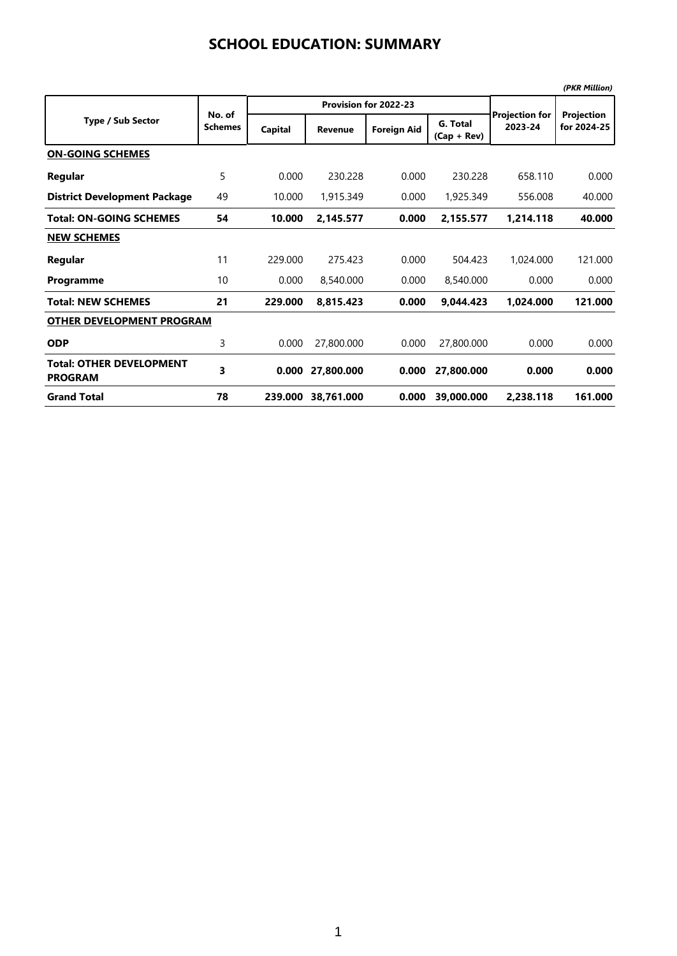|                                                   |                          |         |                       |                    |                           |                                  | (PKR Million)             |  |
|---------------------------------------------------|--------------------------|---------|-----------------------|--------------------|---------------------------|----------------------------------|---------------------------|--|
|                                                   |                          |         | Provision for 2022-23 |                    |                           |                                  |                           |  |
| <b>Type / Sub Sector</b>                          | No. of<br><b>Schemes</b> | Capital | Revenue               | <b>Foreign Aid</b> | G. Total<br>$(Cap + Rev)$ | <b>Projection for</b><br>2023-24 | Projection<br>for 2024-25 |  |
| <b>ON-GOING SCHEMES</b>                           |                          |         |                       |                    |                           |                                  |                           |  |
| Regular                                           | 5                        | 0.000   | 230.228               | 0.000              | 230.228                   | 658.110                          | 0.000                     |  |
| <b>District Development Package</b>               | 49                       | 10.000  | 1,915.349             | 0.000              | 1,925.349                 | 556.008                          | 40.000                    |  |
| <b>Total: ON-GOING SCHEMES</b>                    | 54                       | 10.000  | 2,145.577             | 0.000              | 2,155.577                 | 1,214.118                        | 40.000                    |  |
| <b>NEW SCHEMES</b>                                |                          |         |                       |                    |                           |                                  |                           |  |
| Regular                                           | 11                       | 229,000 | 275.423               | 0.000              | 504.423                   | 1,024.000                        | 121.000                   |  |
| Programme                                         | 10                       | 0.000   | 8,540.000             | 0.000              | 8,540.000                 | 0.000                            | 0.000                     |  |
| <b>Total: NEW SCHEMES</b>                         | 21                       | 229.000 | 8,815.423             | 0.000              | 9,044.423                 | 1,024.000                        | 121.000                   |  |
| <b>OTHER DEVELOPMENT PROGRAM</b>                  |                          |         |                       |                    |                           |                                  |                           |  |
| <b>ODP</b>                                        | 3                        | 0.000   | 27,800.000            | 0.000              | 27,800.000                | 0.000                            | 0.000                     |  |
| <b>Total: OTHER DEVELOPMENT</b><br><b>PROGRAM</b> | 3                        | 0.000   | 27,800.000            | 0.000              | 27,800.000                | 0.000                            | 0.000                     |  |
| <b>Grand Total</b>                                | 78                       | 239.000 | 38,761.000            | 0.000              | 39,000.000                | 2.238.118                        | 161.000                   |  |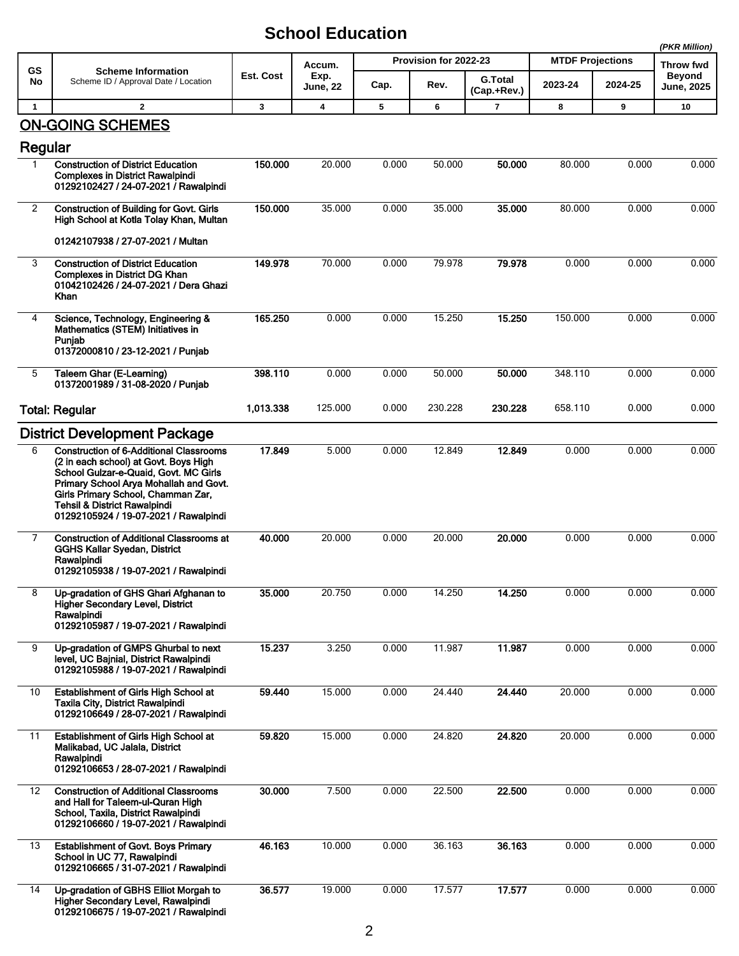|                |                                                                                                                                                                                                                                                                                                      |           |                  |       |                       |                               |                         |         | (PKR Million)                      |
|----------------|------------------------------------------------------------------------------------------------------------------------------------------------------------------------------------------------------------------------------------------------------------------------------------------------------|-----------|------------------|-------|-----------------------|-------------------------------|-------------------------|---------|------------------------------------|
| <b>GS</b>      | <b>Scheme Information</b>                                                                                                                                                                                                                                                                            |           | Accum.           |       | Provision for 2022-23 |                               | <b>MTDF Projections</b> |         | Throw fwd                          |
| No             | Scheme ID / Approval Date / Location                                                                                                                                                                                                                                                                 | Est. Cost | Exp.<br>June, 22 | Cap.  | Rev.                  | <b>G.Total</b><br>(Cap.+Rev.) | 2023-24                 | 2024-25 | <b>Beyond</b><br><b>June, 2025</b> |
| $\mathbf{1}$   | $\mathbf{2}$                                                                                                                                                                                                                                                                                         | 3         | 4                | 5     | 6                     | 7                             | 8                       | 9       | 10                                 |
|                | <b>ON-GOING SCHEMES</b>                                                                                                                                                                                                                                                                              |           |                  |       |                       |                               |                         |         |                                    |
| Regular<br>1.  | <b>Construction of District Education</b>                                                                                                                                                                                                                                                            | 150.000   | 20.000           | 0.000 | 50.000                | 50.000                        | 80.000                  | 0.000   | 0.000                              |
|                | <b>Complexes in District Rawalpindi</b><br>01292102427 / 24-07-2021 / Rawalpindi                                                                                                                                                                                                                     |           |                  |       |                       |                               |                         |         |                                    |
| $\overline{2}$ | <b>Construction of Building for Govt. Girls</b><br>High School at Kotla Tolay Khan, Multan                                                                                                                                                                                                           | 150.000   | 35.000           | 0.000 | 35.000                | 35.000                        | 80.000                  | 0.000   | 0.000                              |
|                | 01242107938 / 27-07-2021 / Multan                                                                                                                                                                                                                                                                    |           |                  |       |                       |                               |                         |         |                                    |
| 3              | <b>Construction of District Education</b><br><b>Complexes in District DG Khan</b><br>01042102426 / 24-07-2021 / Dera Ghazi<br>Khan                                                                                                                                                                   | 149.978   | 70.000           | 0.000 | 79.978                | 79.978                        | 0.000                   | 0.000   | 0.000                              |
| 4              | Science, Technology, Engineering &<br>Mathematics (STEM) Initiatives in<br>Punjab<br>01372000810 / 23-12-2021 / Punjab                                                                                                                                                                               | 165.250   | 0.000            | 0.000 | 15.250                | 15.250                        | 150.000                 | 0.000   | 0.000                              |
|                |                                                                                                                                                                                                                                                                                                      |           |                  |       |                       |                               |                         |         |                                    |
| 5              | Taleem Ghar (E-Learning)<br>01372001989 / 31-08-2020 / Punjab                                                                                                                                                                                                                                        | 398.110   | 0.000            | 0.000 | 50.000                | 50.000                        | 348.110                 | 0.000   | 0.000                              |
|                | <b>Total: Regular</b>                                                                                                                                                                                                                                                                                | 1,013.338 | 125.000          | 0.000 | 230.228               | 230.228                       | 658.110                 | 0.000   | 0.000                              |
|                | <b>District Development Package</b>                                                                                                                                                                                                                                                                  |           |                  |       |                       |                               |                         |         |                                    |
| 6              | <b>Construction of 6-Additional Classrooms</b><br>(2 in each school) at Govt. Boys High<br>School Gulzar-e-Quaid, Govt. MC Girls<br>Primary School Arya Mohallah and Govt.<br>Girls Primary School, Chamman Zar,<br><b>Tehsil &amp; District Rawalpindi</b><br>01292105924 / 19-07-2021 / Rawalpindi | 17.849    | 5.000            | 0.000 | 12.849                | 12.849                        | 0.000                   | 0.000   | 0.000                              |
| 7              | <b>Construction of Additional Classrooms at</b><br><b>GGHS Kallar Syedan, District</b><br>Rawalpindi<br>01292105938 / 19-07-2021 / Rawalpindi                                                                                                                                                        | 40.000    | 20.000           | 0.000 | 20.000                | 20,000                        | 0.000                   | 0.000   | 0.000                              |
| 8              | Up-gradation of GHS Ghari Afghanan to<br><b>Higher Secondary Level, District</b><br>Rawalpindi<br>01292105987 / 19-07-2021 / Rawalpindi                                                                                                                                                              | 35.000    | 20.750           | 0.000 | 14.250                | 14.250                        | 0.000                   | 0.000   | 0.000                              |
| 9              | Up-gradation of GMPS Ghurbal to next<br>level, UC Bajnial, District Rawalpindi<br>01292105988 / 19-07-2021 / Rawalpindi                                                                                                                                                                              | 15.237    | 3.250            | 0.000 | 11.987                | 11.987                        | 0.000                   | 0.000   | 0.000                              |
| 10             | Establishment of Girls High School at<br>Taxila City, District Rawalpindi<br>01292106649 / 28-07-2021 / Rawalpindi                                                                                                                                                                                   | 59.440    | 15.000           | 0.000 | 24.440                | 24.440                        | 20.000                  | 0.000   | 0.000                              |
| 11             | <b>Establishment of Girls High School at</b><br>Malikabad, UC Jalala, District<br>Rawalpindi<br>01292106653 / 28-07-2021 / Rawalpindi                                                                                                                                                                | 59.820    | 15.000           | 0.000 | 24.820                | 24.820                        | 20.000                  | 0.000   | 0.000                              |
| 12             | <b>Construction of Additional Classrooms</b><br>and Hall for Taleem-ul-Quran High<br>School, Taxila, District Rawalpindi<br>01292106660 / 19-07-2021 / Rawalpindi                                                                                                                                    | 30.000    | 7.500            | 0.000 | 22.500                | 22.500                        | 0.000                   | 0.000   | 0.000                              |
| 13             | <b>Establishment of Govt. Boys Primary</b><br>School in UC 77, Rawalpindi<br>01292106665 / 31-07-2021 / Rawalpindi                                                                                                                                                                                   | 46.163    | 10.000           | 0.000 | 36.163                | 36.163                        | 0.000                   | 0.000   | 0.000                              |
| 14             | Up-gradation of GBHS Elliot Morgah to<br>Higher Secondary Level, Rawalpindi<br>01292106675 / 19-07-2021 / Rawalpindi                                                                                                                                                                                 | 36.577    | 19.000           | 0.000 | 17.577                | 17.577                        | 0.000                   | 0.000   | 0.000                              |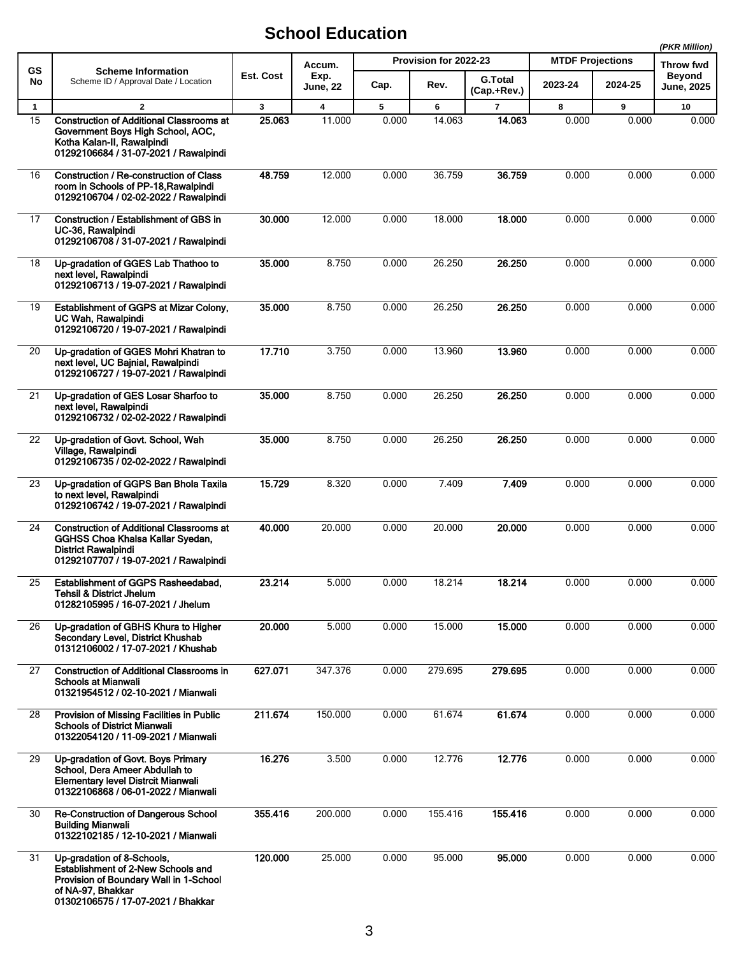|                                            |                                                                                                                                                                       |                         |         |                       |                               |                |                         | (PKR Million)                      |       |
|--------------------------------------------|-----------------------------------------------------------------------------------------------------------------------------------------------------------------------|-------------------------|---------|-----------------------|-------------------------------|----------------|-------------------------|------------------------------------|-------|
| <b>GS</b>                                  | <b>Scheme Information</b>                                                                                                                                             |                         | Accum.  | Provision for 2022-23 |                               |                | <b>MTDF Projections</b> | Throw fwd                          |       |
| No<br>Scheme ID / Approval Date / Location | Est. Cost                                                                                                                                                             | Exp.<br><b>June, 22</b> | Cap.    | Rev.                  | <b>G.Total</b><br>(Cap.+Rev.) | 2023-24        | 2024-25                 | <b>Beyond</b><br><b>June, 2025</b> |       |
| $\mathbf{1}$                               | $\overline{2}$                                                                                                                                                        | $\mathbf{3}$            | 4       | 5                     | 6                             | $\overline{7}$ | 8                       | 9                                  | 10    |
| $\overline{15}$                            | <b>Construction of Additional Classrooms at</b><br>Government Boys High School, AOC,<br>Kotha Kalan-II, Rawalpindi<br>01292106684 / 31-07-2021 / Rawalpindi           | 25.063                  | 11.000  | 0.000                 | 14.063                        | 14.063         | 0.000                   | 0.000                              | 0.000 |
| 16                                         | <b>Construction / Re-construction of Class</b><br>room in Schools of PP-18, Rawalpindi<br>01292106704 / 02-02-2022 / Rawalpindi                                       | 48.759                  | 12.000  | 0.000                 | 36.759                        | 36.759         | 0.000                   | 0.000                              | 0.000 |
| 17                                         | Construction / Establishment of GBS in<br>UC-36, Rawalpindi<br>01292106708 / 31-07-2021 / Rawalpindi                                                                  | 30.000                  | 12.000  | 0.000                 | 18.000                        | 18.000         | 0.000                   | 0.000                              | 0.000 |
| 18                                         | Up-gradation of GGES Lab Thathoo to<br>next level, Rawalpindi<br>01292106713 / 19-07-2021 / Rawalpindi                                                                | 35.000                  | 8.750   | 0.000                 | 26.250                        | 26.250         | 0.000                   | 0.000                              | 0.000 |
| 19                                         | Establishment of GGPS at Mizar Colony,<br>UC Wah, Rawalpindi<br>01292106720 / 19-07-2021 / Rawalpindi                                                                 | 35.000                  | 8.750   | 0.000                 | 26.250                        | 26.250         | 0.000                   | 0.000                              | 0.000 |
| 20                                         | Up-gradation of GGES Mohri Khatran to<br>next level, UC Bainial, Rawalpindi<br>01292106727 / 19-07-2021 / Rawalpindi                                                  | 17.710                  | 3.750   | 0.000                 | 13.960                        | 13.960         | 0.000                   | 0.000                              | 0.000 |
| 21                                         | Up-gradation of GES Losar Sharfoo to<br>next level, Rawalpindi<br>01292106732 / 02-02-2022 / Rawalpindi                                                               | 35.000                  | 8.750   | 0.000                 | 26.250                        | 26.250         | 0.000                   | 0.000                              | 0.000 |
| 22                                         | Up-gradation of Govt. School, Wah<br>Village, Rawalpindi<br>01292106735 / 02-02-2022 / Rawalpindi                                                                     | 35.000                  | 8.750   | 0.000                 | 26.250                        | 26.250         | 0.000                   | 0.000                              | 0.000 |
| 23                                         | Up-gradation of GGPS Ban Bhola Taxila<br>to next level, Rawalpindi<br>01292106742 / 19-07-2021 / Rawalpindi                                                           | 15.729                  | 8.320   | 0.000                 | 7.409                         | 7.409          | 0.000                   | 0.000                              | 0.000 |
| 24                                         | <b>Construction of Additional Classrooms at</b><br>GGHSS Choa Khalsa Kallar Syedan,<br><b>District Rawalpindi</b><br>01292107707 / 19-07-2021 / Rawalpindi            | 40.000                  | 20.000  | 0.000                 | 20.000                        | 20.000         | 0.000                   | 0.000                              | 0.000 |
| 25                                         | Establishment of GGPS Rasheedabad,<br><b>Tehsil &amp; District Jhelum</b><br>01282105995 / 16-07-2021 / Jhelum                                                        | 23.214                  | 5.000   | 0.000                 | 18.214                        | 18.214         | 0.000                   | 0.000                              | 0.000 |
| 26                                         | Up-gradation of GBHS Khura to Higher<br>Secondary Level, District Khushab<br>01312106002 / 17-07-2021 / Khushab                                                       | 20.000                  | 5.000   | 0.000                 | 15.000                        | 15.000         | 0.000                   | 0.000                              | 0.000 |
| 27                                         | <b>Construction of Additional Classrooms in</b><br><b>Schools at Mianwali</b><br>01321954512 / 02-10-2021 / Mianwali                                                  | 627.071                 | 347.376 | 0.000                 | 279.695                       | 279.695        | 0.000                   | 0.000                              | 0.000 |
| 28                                         | Provision of Missing Facilities in Public<br><b>Schools of District Mianwali</b><br>01322054120 / 11-09-2021 / Mianwali                                               | 211.674                 | 150.000 | 0.000                 | 61.674                        | 61.674         | 0.000                   | 0.000                              | 0.000 |
| 29                                         | Up-gradation of Govt. Boys Primary<br>School, Dera Ameer Abdullah to<br><b>Elementary level Distrcit Mianwali</b><br>01322106868 / 06-01-2022 / Mianwali              | 16.276                  | 3.500   | 0.000                 | 12.776                        | 12.776         | 0.000                   | 0.000                              | 0.000 |
| 30                                         | Re-Construction of Dangerous School<br><b>Building Mianwali</b><br>01322102185 / 12-10-2021 / Mianwali                                                                | 355.416                 | 200.000 | 0.000                 | 155.416                       | 155.416        | 0.000                   | 0.000                              | 0.000 |
| 31                                         | Up-gradation of 8-Schools,<br>Establishment of 2-New Schools and<br>Provision of Boundary Wall in 1-School<br>of NA-97, Bhakkar<br>01302106575 / 17-07-2021 / Bhakkar | 120.000                 | 25.000  | 0.000                 | 95.000                        | 95.000         | 0.000                   | 0.000                              | 0.000 |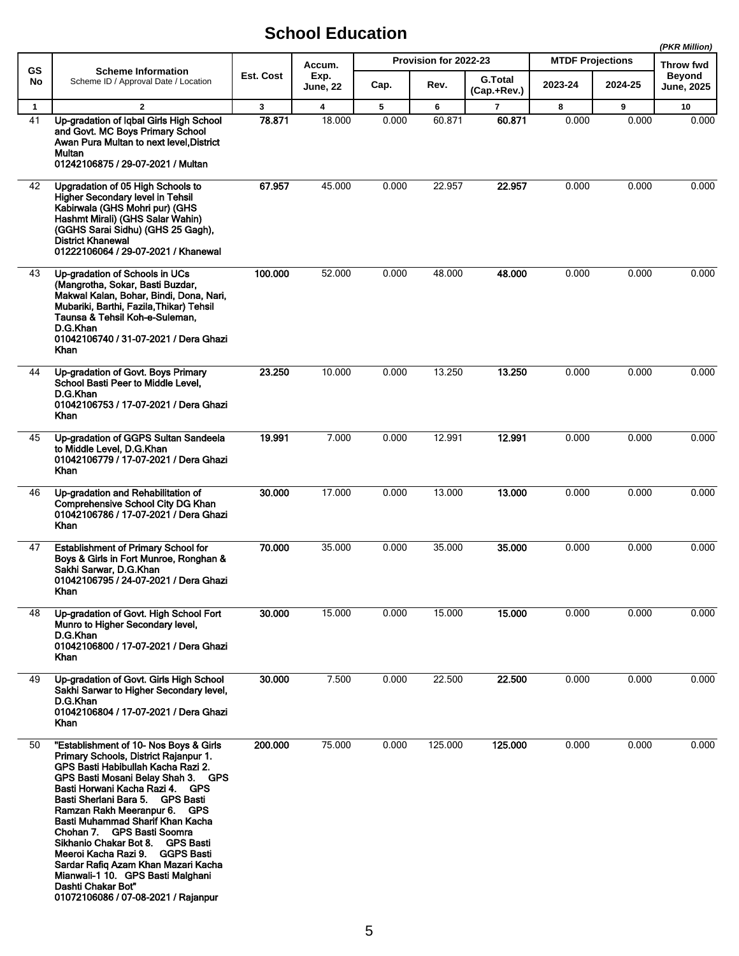|                    |                                                                                                                                                                                                                                                                                                                                                                                                                                                                                                                                                            |                        |                                   |            |                                         |                          |            | (PKR Million)           |                   |  |
|--------------------|------------------------------------------------------------------------------------------------------------------------------------------------------------------------------------------------------------------------------------------------------------------------------------------------------------------------------------------------------------------------------------------------------------------------------------------------------------------------------------------------------------------------------------------------------------|------------------------|-----------------------------------|------------|-----------------------------------------|--------------------------|------------|-------------------------|-------------------|--|
| <b>GS</b><br>No    | <b>Scheme Information</b><br>Scheme ID / Approval Date / Location                                                                                                                                                                                                                                                                                                                                                                                                                                                                                          | Est. Cost              | Accum.<br>Exp.                    |            | Provision for 2022-23<br><b>G.Total</b> |                          |            | <b>MTDF Projections</b> |                   |  |
|                    |                                                                                                                                                                                                                                                                                                                                                                                                                                                                                                                                                            |                        | <b>June, 22</b>                   | Cap.       | Rev.                                    | (Cap.+Rev.)              | 2023-24    | 2024-25                 | <b>June, 2025</b> |  |
| $\mathbf{1}$<br>41 | $\overline{2}$<br>Up-gradation of Iqbal Girls High School<br>and Govt. MC Boys Primary School<br>Awan Pura Multan to next level, District<br>Multan<br>01242106875 / 29-07-2021 / Multan                                                                                                                                                                                                                                                                                                                                                                   | $\mathbf{3}$<br>78.871 | $\overline{\mathbf{4}}$<br>18.000 | 5<br>0.000 | 6<br>60.871                             | $\overline{7}$<br>60.871 | 8<br>0.000 | 9<br>0.000              | 10<br>0.000       |  |
| 42                 | Upgradation of 05 High Schools to<br><b>Higher Secondary level in Tehsil</b><br>Kabirwala (GHS Mohri pur) (GHS<br>Hashmt Mirali) (GHS Salar Wahin)<br>(GGHS Sarai Sidhu) (GHS 25 Gagh),<br><b>District Khanewal</b><br>01222106064 / 29-07-2021 / Khanewal                                                                                                                                                                                                                                                                                                 | 67.957                 | 45.000                            | 0.000      | 22.957                                  | 22.957                   | 0.000      | 0.000                   | 0.000             |  |
| 43                 | Up-gradation of Schools in UCs<br>(Mangrotha, Sokar, Basti Buzdar,<br>Makwal Kalan, Bohar, Bindi, Dona, Nari,<br>Mubariki, Barthi, Fazila, Thikar) Tehsil<br>Taunsa & Tehsil Koh-e-Suleman,<br>D.G.Khan<br>01042106740 / 31-07-2021 / Dera Ghazi<br>Khan                                                                                                                                                                                                                                                                                                   | 100.000                | 52.000                            | 0.000      | 48.000                                  | 48.000                   | 0.000      | 0.000                   | 0.000             |  |
| 44                 | Up-gradation of Govt. Boys Primary<br>School Basti Peer to Middle Level,<br>D.G.Khan<br>01042106753 / 17-07-2021 / Dera Ghazi<br>Khan                                                                                                                                                                                                                                                                                                                                                                                                                      | 23.250                 | 10.000                            | 0.000      | 13.250                                  | 13.250                   | 0.000      | 0.000                   | 0.000             |  |
| 45                 | Up-gradation of GGPS Sultan Sandeela<br>to Middle Level, D.G.Khan<br>01042106779 / 17-07-2021 / Dera Ghazi<br>Khan                                                                                                                                                                                                                                                                                                                                                                                                                                         | 19.991                 | 7.000                             | 0.000      | 12.991                                  | 12.991                   | 0.000      | 0.000                   | 0.000             |  |
| 46                 | Up-gradation and Rehabilitation of<br><b>Comprehensive School City DG Khan</b><br>01042106786 / 17-07-2021 / Dera Ghazi<br>Khan                                                                                                                                                                                                                                                                                                                                                                                                                            | 30.000                 | 17.000                            | 0.000      | 13.000                                  | 13.000                   | 0.000      | 0.000                   | 0.000             |  |
| 47                 | <b>Establishment of Primary School for</b><br>Boys & Girls in Fort Munroe, Ronghan &<br>Sakhi Sarwar, D.G.Khan<br>01042106795 / 24-07-2021 / Dera Ghazi<br>Khan                                                                                                                                                                                                                                                                                                                                                                                            | 70.000                 | 35.000                            | 0.000      | 35.000                                  | 35.000                   | 0.000      | 0.000                   | 0.000             |  |
| 48                 | Up-gradation of Govt. High School Fort<br>Munro to Higher Secondary level,<br>D.G.Khan<br>01042106800 / 17-07-2021 / Dera Ghazi<br>Khan                                                                                                                                                                                                                                                                                                                                                                                                                    | 30.000                 | 15.000                            | 0.000      | 15.000                                  | 15.000                   | 0.000      | 0.000                   | 0.000             |  |
| 49                 | Up-gradation of Govt. Girls High School<br>Sakhi Sarwar to Higher Secondary level.<br>D.G.Khan<br>01042106804 / 17-07-2021 / Dera Ghazi<br>Khan                                                                                                                                                                                                                                                                                                                                                                                                            | 30.000                 | 7.500                             | 0.000      | 22.500                                  | 22.500                   | 0.000      | 0.000                   | 0.000             |  |
| 50                 | "Establishment of 10- Nos Boys & Girls<br>Primary Schools, District Rajanpur 1.<br>GPS Basti Habibullah Kacha Razi 2.<br>GPS Basti Mosani Belay Shah 3. GPS<br>Basti Horwani Kacha Razi 4. GPS<br>Basti Sherlani Bara 5. GPS Basti<br>Ramzan Rakh Meeranpur 6. GPS<br>Basti Muhammad Sharif Khan Kacha<br>Chohan 7. GPS Basti Soomra<br>Sikhanio Chakar Bot 8.     GPS Basti .<br>Meeroi Kacha Razi 9. GGPS Basti<br>Sardar Rafiq Azam Khan Mazari Kacha<br>Mianwali-1 10. GPS Basti Malghani<br>Dashti Chakar Bot"<br>01072106086 / 07-08-2021 / Rajanpur | 200.000                | 75.000                            | 0.000      | 125.000                                 | 125.000                  | 0.000      | 0.000                   | 0.000             |  |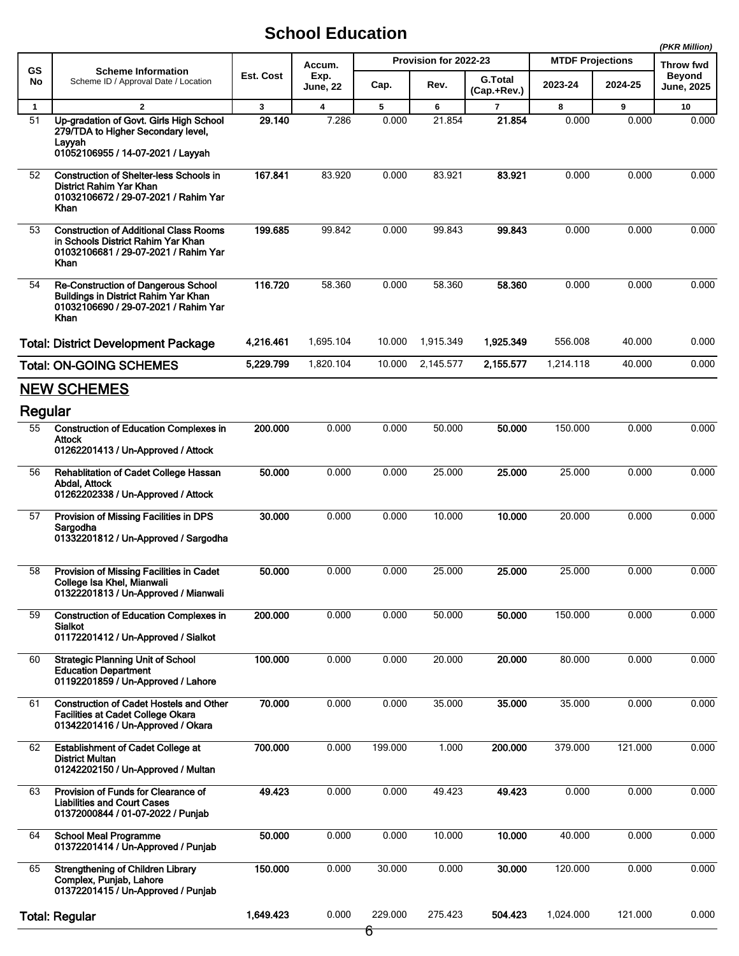|              |                                                                                                                                     |              |                |         |                       |                |                         |         | (PKR Million)                     |
|--------------|-------------------------------------------------------------------------------------------------------------------------------------|--------------|----------------|---------|-----------------------|----------------|-------------------------|---------|-----------------------------------|
| GS           | <b>Scheme Information</b><br>Scheme ID / Approval Date / Location                                                                   | Est. Cost    | Accum.<br>Exp. |         | Provision for 2022-23 | <b>G.Total</b> | <b>MTDF Projections</b> |         | <b>Throw fwd</b><br><b>Beyond</b> |
| No           |                                                                                                                                     |              | June, 22       | Cap.    | Rev.                  | (Cap.+Rev.)    | 2023-24                 | 2024-25 | <b>June, 2025</b>                 |
| $\mathbf{1}$ | $\overline{2}$                                                                                                                      | $\mathbf{3}$ | 4              | 5       | 6                     | $\overline{7}$ | 8                       | 9       | 10                                |
| 51           | Up-gradation of Govt. Girls High School<br>279/TDA to Higher Secondary level,<br>Layyah<br>01052106955 / 14-07-2021 / Layyah        | 29.140       | 7.286          | 0.000   | 21.854                | 21.854         | 0.000                   | 0.000   | 0.000                             |
| 52           | <b>Construction of Shelter-less Schools in</b><br>District Rahim Yar Khan<br>01032106672 / 29-07-2021 / Rahim Yar<br>Khan           | 167.841      | 83.920         | 0.000   | 83.921                | 83.921         | 0.000                   | 0.000   | 0.000                             |
| 53           | <b>Construction of Additional Class Rooms</b><br>in Schools District Rahim Yar Khan<br>01032106681 / 29-07-2021 / Rahim Yar<br>Khan | 199.685      | 99.842         | 0.000   | 99.843                | 99.843         | 0.000                   | 0.000   | 0.000                             |
| 54           | <b>Re-Construction of Dangerous School</b><br>Buildings in District Rahim Yar Khan<br>01032106690 / 29-07-2021 / Rahim Yar<br>Khan  | 116.720      | 58.360         | 0.000   | 58.360                | 58.360         | 0.000                   | 0.000   | 0.000                             |
|              | <b>Total: District Development Package</b>                                                                                          | 4,216.461    | 1,695.104      | 10.000  | 1,915.349             | 1,925.349      | 556.008                 | 40.000  | 0.000                             |
|              | <b>Total: ON-GOING SCHEMES</b>                                                                                                      | 5,229.799    | 1,820.104      | 10.000  | 2,145.577             | 2.155.577      | 1,214.118               | 40.000  | 0.000                             |
|              | <b>NEW SCHEMES</b>                                                                                                                  |              |                |         |                       |                |                         |         |                                   |
| Regular      |                                                                                                                                     |              |                |         |                       |                |                         |         |                                   |
| 55           | <b>Construction of Education Complexes in</b><br><b>Attock</b><br>01262201413 / Un-Approved / Attock                                | 200.000      | 0.000          | 0.000   | 50.000                | 50.000         | 150.000                 | 0.000   | 0.000                             |
| 56           | <b>Rehablitation of Cadet College Hassan</b><br>Abdal, Attock<br>01262202338 / Un-Approved / Attock                                 | 50.000       | 0.000          | 0.000   | 25.000                | 25.000         | 25.000                  | 0.000   | 0.000                             |
| 57           | Provision of Missing Facilities in DPS<br>Sargodha<br>01332201812 / Un-Approved / Sargodha                                          | 30.000       | 0.000          | 0.000   | 10.000                | 10.000         | 20.000                  | 0.000   | 0.000                             |
| 58           | Provision of Missing Facilities in Cadet<br>College Isa Khel, Mianwali<br>01322201813 / Un-Approved / Mianwali                      | 50.000       | 0.000          | 0.000   | 25.000                | 25.000         | 25.000                  | 0.000   | 0.000                             |
| 59           | <b>Construction of Education Complexes in</b><br>Sialkot<br>01172201412 / Un-Approved / Sialkot                                     | 200.000      | 0.000          | 0.000   | 50.000                | 50.000         | 150.000                 | 0.000   | 0.000                             |
| 60           | <b>Strategic Planning Unit of School</b><br><b>Education Department</b><br>01192201859 / Un-Approved / Lahore                       | 100.000      | 0.000          | 0.000   | 20.000                | 20.000         | 80.000                  | 0.000   | 0.000                             |
| 61           | <b>Construction of Cadet Hostels and Other</b><br><b>Facilities at Cadet College Okara</b><br>01342201416 / Un-Approved / Okara     | 70.000       | 0.000          | 0.000   | 35.000                | 35.000         | 35.000                  | 0.000   | 0.000                             |
| 62           | <b>Establishment of Cadet College at</b><br><b>District Multan</b><br>01242202150 / Un-Approved / Multan                            | 700.000      | 0.000          | 199.000 | 1.000                 | 200.000        | 379.000                 | 121.000 | 0.000                             |
| 63           | Provision of Funds for Clearance of<br><b>Liabilities and Court Cases</b><br>01372000844 / 01-07-2022 / Punjab                      | 49.423       | 0.000          | 0.000   | 49.423                | 49.423         | 0.000                   | 0.000   | 0.000                             |
| 64           | <b>School Meal Programme</b><br>01372201414 / Un-Approved / Punjab                                                                  | 50.000       | 0.000          | 0.000   | 10.000                | 10.000         | 40.000                  | 0.000   | 0.000                             |
| 65           | Strengthening of Children Library<br>Complex, Punjab, Lahore<br>01372201415 / Un-Approved / Punjab                                  | 150.000      | 0.000          | 30.000  | 0.000                 | 30.000         | 120.000                 | 0.000   | 0.000                             |
|              | <b>Total: Regular</b>                                                                                                               | 1,649.423    | 0.000          | 229.000 | 275.423               | 504.423        | 1,024.000               | 121.000 | 0.000                             |
|              |                                                                                                                                     |              |                | 6       |                       |                |                         |         |                                   |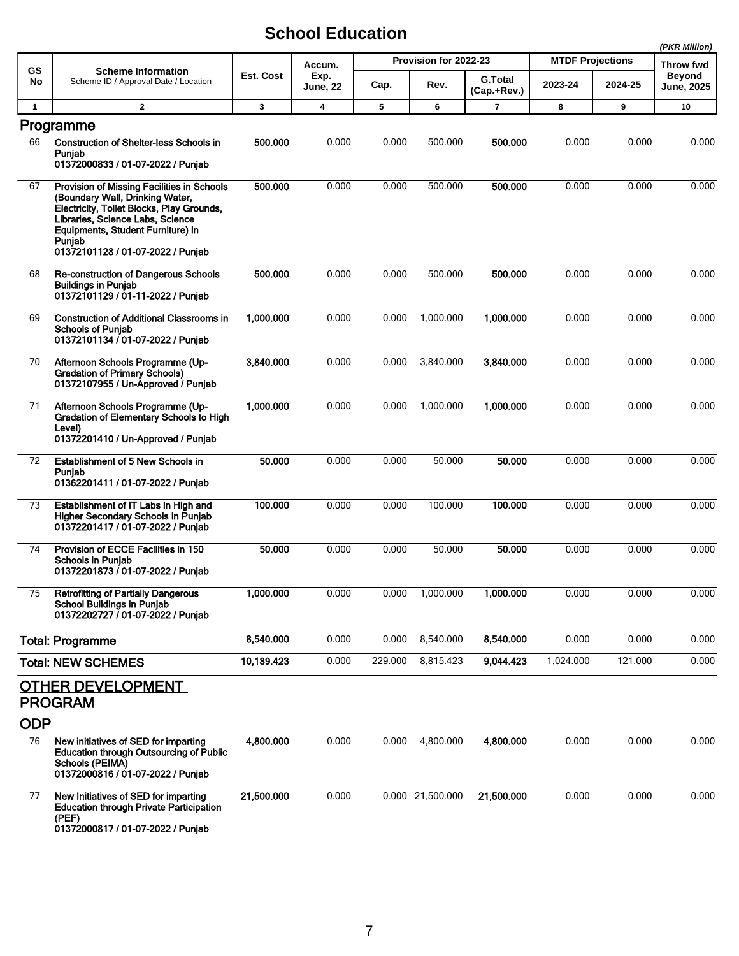|              |                                                                                                                                                                                                                                                    |              |                         |                       |                  |                               |                         |         | (PKR Million)                      |
|--------------|----------------------------------------------------------------------------------------------------------------------------------------------------------------------------------------------------------------------------------------------------|--------------|-------------------------|-----------------------|------------------|-------------------------------|-------------------------|---------|------------------------------------|
| <b>GS</b>    | <b>Scheme Information</b><br>Scheme ID / Approval Date / Location                                                                                                                                                                                  |              | Accum.                  | Provision for 2022-23 |                  |                               | <b>MTDF Projections</b> |         |                                    |
| No           |                                                                                                                                                                                                                                                    | Est. Cost    | Exp.<br><b>June, 22</b> | Cap.                  | Rev.             | <b>G.Total</b><br>(Cap.+Rev.) | 2023-24                 | 2024-25 | <b>Beyond</b><br><b>June, 2025</b> |
| $\mathbf{1}$ | $\overline{2}$                                                                                                                                                                                                                                     | $\mathbf{3}$ | $\overline{\mathbf{4}}$ | 5                     | 6                | $\overline{7}$                | 8                       | 9       | 10                                 |
|              | Programme                                                                                                                                                                                                                                          |              |                         |                       |                  |                               |                         |         |                                    |
| 66           | <b>Construction of Shelter-less Schools in</b><br>Punjab<br>01372000833 / 01-07-2022 / Punjab                                                                                                                                                      | 500.000      | 0.000                   | 0.000                 | 500.000          | 500.000                       | 0.000                   | 0.000   | 0.000                              |
| 67           | Provision of Missing Facilities in Schools<br>(Boundary Wall, Drinking Water,<br>Electricity. Toilet Blocks. Play Grounds.<br>Libraries, Science Labs, Science<br>Equipments, Student Furniture) in<br>Punjab<br>01372101128 / 01-07-2022 / Punjab | 500.000      | 0.000                   | 0.000                 | 500.000          | 500.000                       | 0.000                   | 0.000   | 0.000                              |
| 68           | Re-construction of Dangerous Schools<br><b>Buildings in Punjab</b><br>01372101129 / 01-11-2022 / Punjab                                                                                                                                            | 500,000      | 0.000                   | 0.000                 | 500.000          | 500.000                       | 0.000                   | 0.000   | 0.000                              |
| 69           | <b>Construction of Additional Classrooms in</b><br><b>Schools of Punjab</b><br>01372101134 / 01-07-2022 / Punjab                                                                                                                                   | 1,000.000    | 0.000                   | 0.000                 | 1,000.000        | 1,000.000                     | 0.000                   | 0.000   | 0.000                              |
| 70           | Afternoon Schools Programme (Up-<br><b>Gradation of Primary Schools)</b><br>01372107955 / Un-Approved / Punjab                                                                                                                                     | 3,840.000    | 0.000                   | 0.000                 | 3,840.000        | 3,840.000                     | 0.000                   | 0.000   | 0.000                              |
| 71           | Afternoon Schools Programme (Up-<br><b>Gradation of Elementary Schools to High</b><br>Level)<br>01372201410 / Un-Approved / Punjab                                                                                                                 | 1,000.000    | 0.000                   | 0.000                 | 1,000.000        | 1,000.000                     | 0.000                   | 0.000   | 0.000                              |
| 72           | Establishment of 5 New Schools in<br>Puniab<br>01362201411 / 01-07-2022 / Punjab                                                                                                                                                                   | 50,000       | 0.000                   | 0.000                 | 50.000           | 50.000                        | 0.000                   | 0.000   | 0.000                              |
| 73           | Establishment of IT Labs in High and<br><b>Higher Secondary Schools in Punjab</b><br>01372201417 / 01-07-2022 / Punjab                                                                                                                             | 100.000      | 0.000                   | 0.000                 | 100.000          | 100.000                       | 0.000                   | 0.000   | 0.000                              |
| 74           | Provision of ECCE Facilities in 150<br><b>Schools in Punjab</b><br>01372201873 / 01-07-2022 / Punjab                                                                                                                                               | 50.000       | 0.000                   | 0.000                 | 50.000           | 50.000                        | 0.000                   | 0.000   | 0.000                              |
| 75           | <b>Retrofitting of Partially Dangerous</b><br><b>School Buildings in Punjab</b><br>01372202727 / 01-07-2022 / Punjab                                                                                                                               | 1,000.000    | 0.000                   | 0.000                 | 1,000.000        | 1.000.000                     | 0.000                   | 0.000   | 0.000                              |
|              | <b>Total: Programme</b>                                                                                                                                                                                                                            | 8.540.000    | 0.000                   | 0.000                 | 8,540.000        | 8,540.000                     | 0.000                   | 0.000   | 0.000                              |
|              | <b>Total: NEW SCHEMES</b>                                                                                                                                                                                                                          | 10,189.423   | 0.000                   | 229.000               | 8,815.423        | 9,044.423                     | 1,024.000               | 121.000 | 0.000                              |
|              | <b>OTHER DEVELOPMENT</b>                                                                                                                                                                                                                           |              |                         |                       |                  |                               |                         |         |                                    |
|              | <b>PROGRAM</b>                                                                                                                                                                                                                                     |              |                         |                       |                  |                               |                         |         |                                    |
| <b>ODP</b>   |                                                                                                                                                                                                                                                    |              |                         |                       |                  |                               |                         |         |                                    |
| 76           | New initiatives of SED for imparting<br><b>Education through Outsourcing of Public</b><br>Schools (PEIMA)<br>01372000816 / 01-07-2022 / Punjab                                                                                                     | 4,800.000    | 0.000                   | 0.000                 | 4,800.000        | 4,800.000                     | 0.000                   | 0.000   | 0.000                              |
| 77           | New Initiatives of SED for imparting<br><b>Education through Private Participation</b><br>(PEF)<br>01372000817 / 01-07-2022 / Punjab                                                                                                               | 21,500.000   | 0.000                   |                       | 0.000 21,500.000 | 21,500.000                    | 0.000                   | 0.000   | 0.000                              |